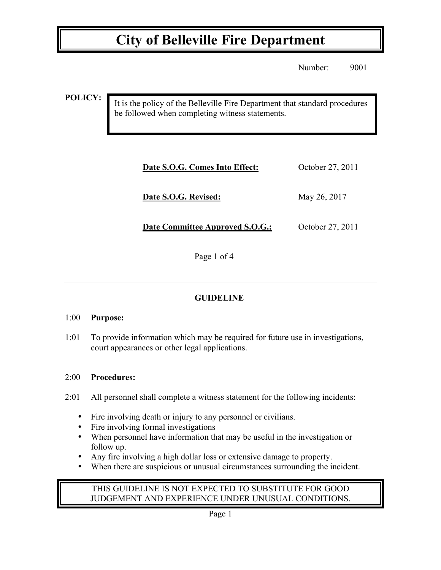## **City of Belleville Fire Department**

Number: 9001

**POLICY:**

It is the policy of the Belleville Fire Department that standard procedures be followed when completing witness statements.

| Date S.O.G. Comes Into Effect:         | October 27, 2011 |
|----------------------------------------|------------------|
| Date S.O.G. Revised:                   | May 26, 2017     |
| <b>Date Committee Approved S.O.G.:</b> | October 27, 2011 |

Page 1 of 4

## **GUIDELINE**

### 1:00 **Purpose:**

1:01 To provide information which may be required for future use in investigations, court appearances or other legal applications.

### 2:00 **Procedures:**

- 2:01 All personnel shall complete a witness statement for the following incidents:
	- Fire involving death or injury to any personnel or civilians.
	- Fire involving formal investigations
	- When personnel have information that may be useful in the investigation or follow up.
	- Any fire involving a high dollar loss or extensive damage to property.
	- When there are suspicious or unusual circumstances surrounding the incident.

## THIS GUIDELINE IS NOT EXPECTED TO SUBSTITUTE FOR GOOD JUDGEMENT AND EXPERIENCE UNDER UNUSUAL CONDITIONS.